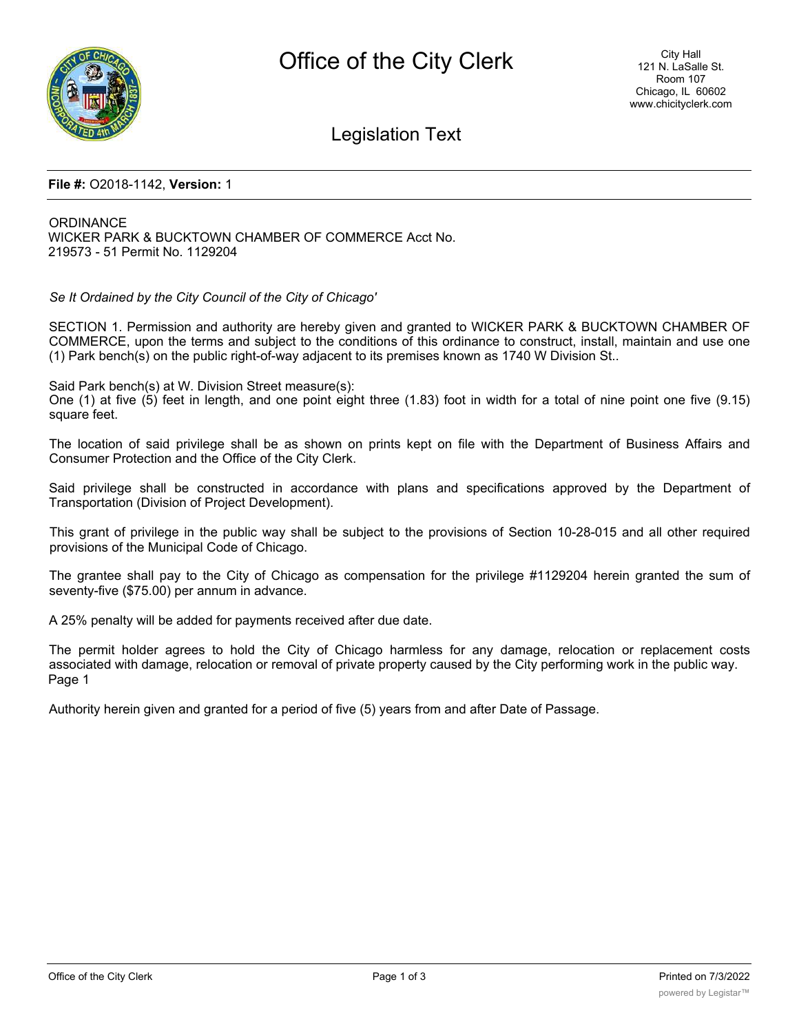

Legislation Text

## **File #:** O2018-1142, **Version:** 1

**ORDINANCE** WICKER PARK & BUCKTOWN CHAMBER OF COMMERCE Acct No. 219573 - 51 Permit No. 1129204

*Se It Ordained by the City Council of the City of Chicago'*

SECTION 1. Permission and authority are hereby given and granted to WICKER PARK & BUCKTOWN CHAMBER OF COMMERCE, upon the terms and subject to the conditions of this ordinance to construct, install, maintain and use one (1) Park bench(s) on the public right-of-way adjacent to its premises known as 1740 W Division St..

Said Park bench(s) at W. Division Street measure(s):

One (1) at five (5) feet in length, and one point eight three (1.83) foot in width for a total of nine point one five (9.15) square feet.

The location of said privilege shall be as shown on prints kept on file with the Department of Business Affairs and Consumer Protection and the Office of the City Clerk.

Said privilege shall be constructed in accordance with plans and specifications approved by the Department of Transportation (Division of Project Development).

This grant of privilege in the public way shall be subject to the provisions of Section 10-28-015 and all other required provisions of the Municipal Code of Chicago.

The grantee shall pay to the City of Chicago as compensation for the privilege #1129204 herein granted the sum of seventy-five (\$75.00) per annum in advance.

A 25% penalty will be added for payments received after due date.

The permit holder agrees to hold the City of Chicago harmless for any damage, relocation or replacement costs associated with damage, relocation or removal of private property caused by the City performing work in the public way. Page 1

Authority herein given and granted for a period of five (5) years from and after Date of Passage.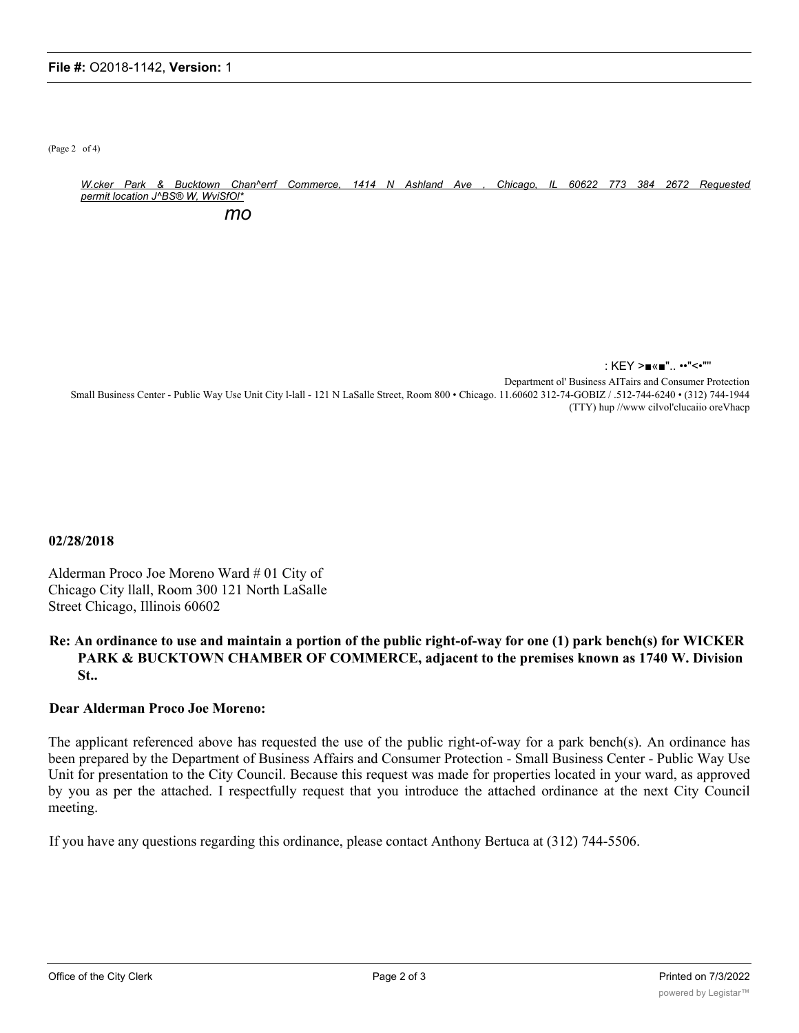(Page 2 of 4)

W.cker Park & Bucktown Chan^errf Commerce, 1414 N Ashland Ave , Chicago, IL 60622 773 384 2672 Requested *permit location J^BS® W, WviSfOl\* mo*

: KEY >■«■".. ••"<•"''

Department ol' Business AITairs and Consumer Protection Small Business Center - Public Way Use Unit City l-lall - 121 N LaSalle Street, Room 800 • Chicago. 11.60602 312-74-GOBIZ / .512-744-6240 • (312) 744-1944 (TTY) hup //www cilvol'clucaiio oreVhacp

**02/28/2018**

Alderman Proco Joe Moreno Ward # 01 City of Chicago City llall, Room 300 121 North LaSalle Street Chicago, Illinois 60602

## **Re: An ordinance to use and maintain a portion of the public right-of-way for one (1) park bench(s) for WICKER PARK & BUCKTOWN CHAMBER OF COMMERCE, adjacent to the premises known as 1740 W. Division St..**

## **Dear Alderman Proco Joe Moreno:**

The applicant referenced above has requested the use of the public right-of-way for a park bench(s). An ordinance has been prepared by the Department of Business Affairs and Consumer Protection - Small Business Center - Public Way Use Unit for presentation to the City Council. Because this request was made for properties located in your ward, as approved by you as per the attached. I respectfully request that you introduce the attached ordinance at the next City Council meeting.

If you have any questions regarding this ordinance, please contact Anthony Bertuca at (312) 744-5506.